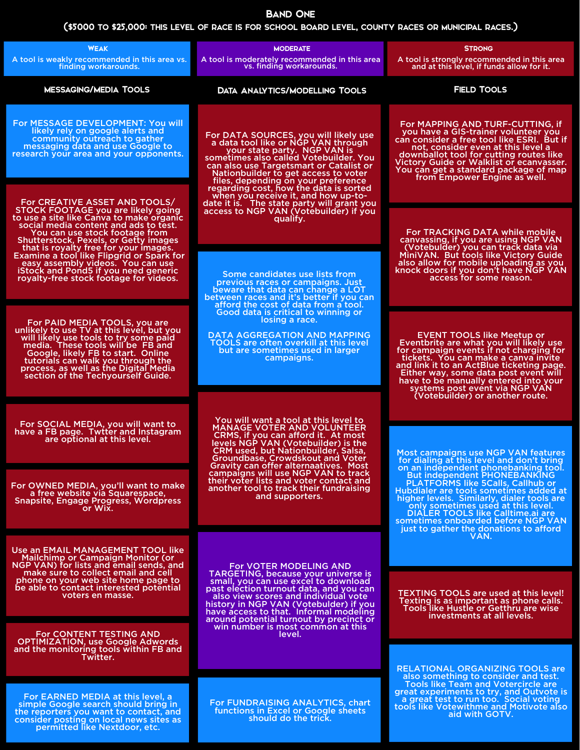## (\$5000 to \$25,000: this level of race is for school board level, county races or municipal races.)

## Band One

Use an EMAIL MANAGEMENT TOOL like<br>Mailchimp or Campaign Monitor (or NGP VAN) for lists and email sends, and make sure to collect email and cell phone on your web site home page to be able to contact interested potential voters en masse.

For CONTENT TESTING AND OPTIMIZATION, use Google Adwords and the monitoring tools within FB and Twitter.

For EARNED MEDIA at this level, a simple Google search should bring in the reporters you want to contact, and consider posting on local news sites as permitted like Nextdoor, etc.

For SOCIAL MEDIA, you will want to have a FB page. Twtter and Instagram are optional at this level.

For OWNED MEDIA, you'll want to make a free website via Squarespace, Snapsite, Engage Progress, Wordpress or Wix.

| <b>WEAK</b><br>A tool is weakly recommended in this area vs.<br>finding workarounds.                                                                                                                                                                                                                                                                                                                                                                    | <b>MODERATE</b><br>A tool is moderately recommended in this area<br>vs. finding workarounds.                                                                                                                                                                                     | <b>STRONG</b><br>A tool is strongly recommended in this area<br>and at this level, if funds allow for it.                                                                                                                                                                                                                                                           |  |
|---------------------------------------------------------------------------------------------------------------------------------------------------------------------------------------------------------------------------------------------------------------------------------------------------------------------------------------------------------------------------------------------------------------------------------------------------------|----------------------------------------------------------------------------------------------------------------------------------------------------------------------------------------------------------------------------------------------------------------------------------|---------------------------------------------------------------------------------------------------------------------------------------------------------------------------------------------------------------------------------------------------------------------------------------------------------------------------------------------------------------------|--|
| <b>MESSAGING/MEDIA TOOLS</b>                                                                                                                                                                                                                                                                                                                                                                                                                            | <b>DATA ANALYTICS/MODELLING TOOLS</b>                                                                                                                                                                                                                                            | <b>FIELD TOOLS</b>                                                                                                                                                                                                                                                                                                                                                  |  |
| For MESSAGE DEVELOPMENT: You will<br>likely rely on google alerts and<br>community outreach to gather<br>messaging data and use Google to<br>research your area and your opponents.                                                                                                                                                                                                                                                                     | For DATA SOURCES, you will likely use<br>a data tool like or NGP VAN through<br>your state party. NGP VAN is<br>sometimes also called Votebuilder. You<br>can also use Targetsmart or Catalist or<br>Nationbuilder to get access to voter<br>files, depending on your preference | For MAPPING AND TURF-CUTTING, if<br>you have a GIS-trainer volunteer you<br>can consider a free tool like ESRI. But if<br>not, consider even at this level a<br>downballot tool for cutting routes like<br>Victory Guide or Walklist or ecanvasser.<br>You can get a standard package of map<br>from Empower Engine as well.                                        |  |
| For CREATIVE ASSET AND TOOLS/<br>STOCK FOOTAGE you are likely going<br>to use a site like Canva to make organic<br>social media content and ads to test.<br>You can use stock footage from<br><b>Shutterstock, Pexels, or Getty images</b><br>that is royalty free for your images.<br>Examine a tool like Flipgrid or Spark for<br>easy assembly videos. You can use<br>iStock and Pond5 if you need generic<br>royalty-free stock footage for videos. | regarding cost, how the data is sorted<br>when you receive it, and how up-to-<br>date it is. The state party will grant you<br>access to NGP VAN (Votebuilder) if you<br>qualify.                                                                                                |                                                                                                                                                                                                                                                                                                                                                                     |  |
|                                                                                                                                                                                                                                                                                                                                                                                                                                                         |                                                                                                                                                                                                                                                                                  | For TRACKING DATA while mobile<br>canvassing, if you are using NGP VAN<br>(Votebulder) you can track data via<br>MiniVAN. But tools like Victory Guide<br>also allow for mobile uploading as you<br>knock doors if you don't have NGP VAN<br>access for some reason.                                                                                                |  |
|                                                                                                                                                                                                                                                                                                                                                                                                                                                         | Some candidates use lists from<br>previous races or campaigns. Just<br>beware that data can change a LOT<br>between races and it's better if you can                                                                                                                             |                                                                                                                                                                                                                                                                                                                                                                     |  |
| For PAID MEDIA TOOLS, you are<br>unlikely to use TV at this level, but you<br>will likely use tools to try some paid<br>media. These tools will be FB and<br>Google, likely FB to start. Online<br>tutorials can walk you through the<br>process, as well as the Digital Media<br>section of the Techyourself Guide.                                                                                                                                    | afford the cost of data from a tool.<br>Good data is critical to winning or<br>losing a race.                                                                                                                                                                                    |                                                                                                                                                                                                                                                                                                                                                                     |  |
|                                                                                                                                                                                                                                                                                                                                                                                                                                                         | <b>DATA AGGREGATION AND MAPPING</b><br><b>TOOLS are often overkill at this level</b><br>but are sometimes used in larger<br>campaigns.                                                                                                                                           | <b>EVENT TOOLS like Meetup or</b><br>Eventbrite are what you will likely use<br>for campaign events if not charging for<br>tickets. You can make a canva invite<br>and link it to an ActBlue ticketing page.<br>Either way, some data post event will<br>have to be manually entered into your<br>systems post event via NGP VAN<br>(Votebuilder) or another route. |  |

You will want a tool at this level to

MANAGE VOTER AND VOLUNTEER CRMS, if you can afford it. At most levels NGP VAN (Votebuilder) is the CRM used, but Nationbuilder, Salsa, Groundbase, Crowdskout and Voter Gravity can offer alternaatives. Most campaigns will use NGP VAN to track their voter lists and voter contact and another tool to track their fundraising and supporters.

For VOTER MODELING AND TARGETING, because your universe is small, you can use excel to download past election turnout data, and you can also view scores and individual vote history in NGP VAN (Votebulder) if you have access to that. Informal modeling around potential turnout by precinct or win number is most common at this level.

For FUNDRAISING ANALYTICS, chart functions in Excel or Google sheets should do the trick.

RELATIONAL ORGANIZING TOOLS are also something to consider and test. Tools like Team and Votercircle are great experiments to try, and Outvote is a great test to run too. Social voting tools like Votewithme and Motivote also aid with GOTV.

Most campaigns use NGP VAN features for dialing at this level and don't bring on an independent phonebanking tool. But independent PHONEBANKING PLATFORMS like 5Calls, Callhub or Hubdialer are tools sometimes added at higher levels. Similarly, dialer tools are only sometimes used at this level. DIALER TOOLS like Calltime.ai are sometimes onboarded before NGP VAN just to gather the donations to afford VAN.

TEXTING TOOLS are used at this level! Texting is as important as phone calls. Tools like Hustle or Getthru are wise investments at all levels.